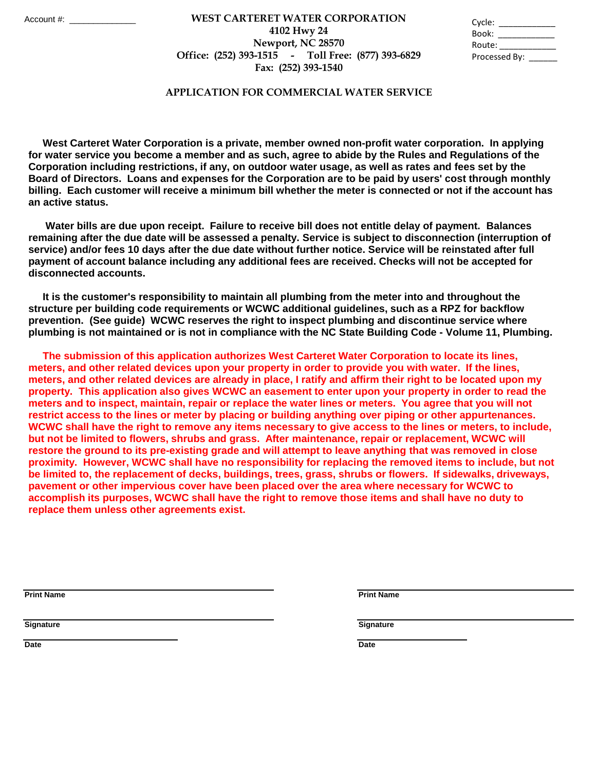## **Fax: (252) 393-1540 WEST CARTERET WATER CORPORATION** Account #: \_\_\_\_\_\_\_\_\_\_\_\_\_\_ Cycle: \_\_\_\_\_\_\_\_\_\_\_\_ **4102 Hwy 24 Newport, NC 28570 Office: (252) 393-1515 - Toll Free: (877) 393-6829**

| Cycle:        |  |
|---------------|--|
| Book:         |  |
| Route:        |  |
| Processed By: |  |

## **APPLICATION FOR COMMERCIAL WATER SERVICE**

 **West Carteret Water Corporation is a private, member owned non-profit water corporation. In applying for water service you become a member and as such, agree to abide by the Rules and Regulations of the Corporation including restrictions, if any, on outdoor water usage, as well as rates and fees set by the Board of Directors. Loans and expenses for the Corporation are to be paid by users' cost through monthly billing. Each customer will receive a minimum bill whether the meter is connected or not if the account has an active status.** 

 **Water bills are due upon receipt. Failure to receive bill does not entitle delay of payment. Balances remaining after the due date will be assessed a penalty. Service is subject to disconnection (interruption of service) and/or fees 10 days after the due date without further notice. Service will be reinstated after full payment of account balance including any additional fees are received. Checks will not be accepted for disconnected accounts.** 

 **It is the customer's responsibility to maintain all plumbing from the meter into and throughout the structure per building code requirements or WCWC additional guidelines, such as a RPZ for backflow prevention. (See guide) WCWC reserves the right to inspect plumbing and discontinue service where plumbing is not maintained or is not in compliance with the NC State Building Code - Volume 11, Plumbing.** 

 **The submission of this application authorizes West Carteret Water Corporation to locate its lines, meters, and other related devices upon your property in order to provide you with water. If the lines, meters, and other related devices are already in place, I ratify and affirm their right to be located upon my property. This application also gives WCWC an easement to enter upon your property in order to read the meters and to inspect, maintain, repair or replace the water lines or meters. You agree that you will not restrict access to the lines or meter by placing or building anything over piping or other appurtenances. WCWC shall have the right to remove any items necessary to give access to the lines or meters, to include, but not be limited to flowers, shrubs and grass. After maintenance, repair or replacement, WCWC will restore the ground to its pre-existing grade and will attempt to leave anything that was removed in close proximity. However, WCWC shall have no responsibility for replacing the removed items to include, but not be limited to, the replacement of decks, buildings, trees, grass, shrubs or flowers. If sidewalks, driveways, pavement or other impervious cover have been placed over the area where necessary for WCWC to accomplish its purposes, WCWC shall have the right to remove those items and shall have no duty to replace them unless other agreements exist.** 

**Print Name Print Name**

**Signature Signature**

**Date Date**